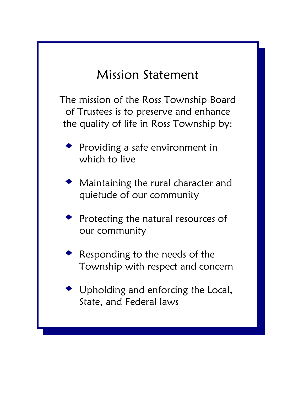# Mission Statement

The mission of the Ross Township Board of Trustees is to preserve and enhance the quality of life in Ross Township by:

- Providing a safe environment in which to live
- Maintaining the rural character and quietude of our community
- Protecting the natural resources of our community
- Responding to the needs of the Township with respect and concern
- Upholding and enforcing the Local, State, and Federal laws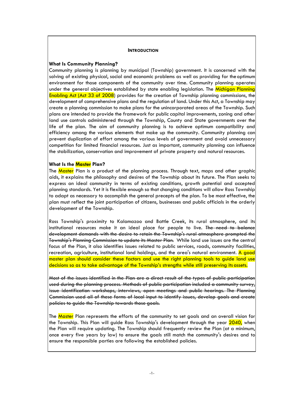#### **INTRODUCTION**

#### **What Is Community Planning?**

Community planning is planning by municipal (Township) government. It is concerned with the solving of existing physical, social and economic problems as well as providing for theoptimum environment for those components of the community over time. Community planning operates under the general objectives established by state enabling legislation. The Michigan Planning Enabling Act (Act 33 of 2008) provides for the creation of Township planning commissions, the development of comprehensive plans and the regulation of land. Under this Act, a Township may create a planning commission to make plans for the unincorporated areas of the Township. Such plans are intended to provide the framework for public capital improvements, zoning and other land use controls administered through the Township, County and State governments over the life of the plan. The aim of community planning is to achieve optimum compatibility and efficiency among the various elements that make up the community. Community planning can prevent duplication of effort among the various levels of government and avoid unnecessary competition for limited financial resources. Just as important, community planning can influence the stabilization, conservation and improvement of private property and natural resources.

## **What Is the Master Plan?**

The Master Plan is a product of the planning process. Through text, maps and other graphic aids, it explains the philosophy and desires of the Township about its future. The Plan seeks to express an ideal community in terms of existing conditions, growth potential and accepted planning standards. Yet it is flexible enough so that changing conditions will allow Ross Township to adapt as necessary to accomplish the general precepts of the plan. To be most effective, the plan must reflect the joint participation of citizens, businesses and public officials in the orderly development of the Township.

Ross Township's proximity to Kalamazoo and Battle Creek, its rural atmosphere, and its institutional resources make it an ideal place for people to live. The need to balance development demands with the desire to retain the Township's rural atmosphere prompted the Township's Planning Commission to update its Master Plan. While land use issues are the central focus of the Plan, it also identifies issues related to public services, roads, community facilities, recreation, agriculture, institutional land holdings, and the area's natural environment. A good master plan should consider these factors and use the right planning tools to guide land use decisions so as to take advantage of the Township's strengths while still preserving its assets.

Most of the issues identified in the Plan are a direct result of the types of public participation used during the planning process. Methods of public participation included a community survey, issue identification workshops, interviews, open meetings and public hearings. The Planning Commission used all of these forms of local input to identify issues, develop goals and create policies to guide the Township towards those goals.

The Master Plan represents the efforts of the community to set goals and an overall vision for the Township. This Plan will guide Ross Township's development through the year 2040, when the Plan will require updating. The Township should frequently review the Plan (at a minimum, once every five years by law) to ensure the goals still match the community's desires and to ensure the responsible parties are following the established policies.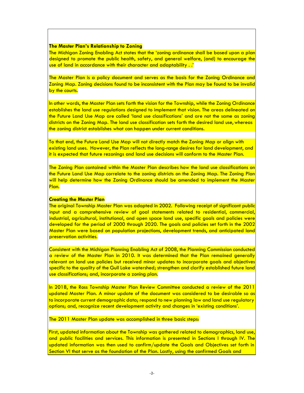## **The Master Plan's Relationship to Zoning**

The Michigan Zoning Enabling Act states that the 'zoning ordinance shall be based upon a plan designed to promote the public health, safety, and general welfare, (and) to encourage the use of land in accordance with their character and adaptability . .'

The Master Plan is a policy document and serves as the basis for the Zoning Ordinance and Zoning Map. Zoning decisions found to be inconsistent with the Plan may be found to be invalid by the courts.

In other words, the Master Plan sets forth the vision for the Township, while the Zoning Ordinance establishes the land use regulations designed to implement that vision. The areas delineated on the Future Land Use Map are called 'land use classifications' and are not the same as zoning districts on the Zoning Map. The land use classification sets forth the desired land use, whereas the zoning district establishes what can happen under current conditions.

To that end, the Future Land Use Map will not directly match the Zoning Map or align with existing land uses. However, the Plan reflects the long-range desires for land development, and it is expected that future rezonings and land use decisions will conform to the Master Plan.

The Zoning Plan contained within the Master Plan describes how the land use classifications on the Future Land Use Map correlate to the zoning districts on the Zoning Map. The Zoning Plan will help determine how the Zoning Ordinance should be amended to implement the Master Plan.

## **Creating the Master Plan**

The original Township Master Plan was adopted in 2002. Following receipt of significant public input and a comprehensive review of goal statements related to residential, commercial, industrial, agricultural, institutional, and open space land use, specific goals and policies were developed for the period of 2000 through 2020. The goals and policies set forth in the 2002 Master Plan were based on population projections, development trends, and anticipated land preservation activities.

Consistent with the Michigan Planning Enabling Act of 2008, the Planning Commission conducted a review of the Master Plan in 2010. It was determined that the Plan remained generally relevant on land use policies but received minor updates to incorporate goals and objectives specific to the quality of the Gull Lake watershed; strengthen and clarify established future land use classifications; and, incorporate a zoning plan.

In 2018, the Ross Township Master Plan Review Committee conducted a review of the 2011 updated Master Plan. A minor update of the document was considered to be desirable so as to incorporate current demographic data; respond to new planning law and land use regulatory options; and, recognize recent development activity and changes in 'existing conditions'.

The 2011 Master Plan update was accomplished in three basic steps:

First, updated information about the Township was gathered related to demographics, land use, and public facilities and services. This information is presented in Sections I through IV. The updated information was then used to confirm/update the Goals and Objectives set forth in Section VI that serve as the foundation of the Plan. Lastly, using the confirmed Goals and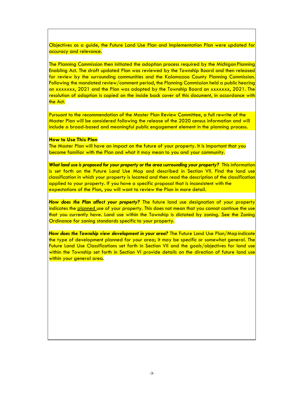Objectives as a guide, the Future Land Use Plan and Implementation Plan were updated for accuracy and relevance.

The Planning Commission then initiated the adoption process required by the Michigan Planning Enabling Act. The draft updated Plan was reviewed by the Township Board and then released for review by the surrounding communities and the Kalamazoo County Planning Commission. Following the mandated review/comment period, the Planning Commission held a public hearing on xxxxxxx, 2021 and the Plan was adopted by the Township Board on xxxxxxx, 2021. The resolution of adoption is copied on the inside back cover of this document, in accordance with the Act.

Pursuant to the recommendation of the Master Plan Review Committee, a full rewrite of the Master Plan will be considered following the release of the 2020 census information and will include a broad-based and meaningful public engagement element in the planning process.

#### **How to Use This Plan**

The Master Plan will have an impact on the future of your property. It is important that you become familiar with the Plan and what it may mean to you and your community.

*What land use is proposed for your property or the area surrounding your property?* This information is set forth on the Future Land Use Map and described in Section VII. Find the land use classification in which your property is located and then read the description of the classification applied to your property. If you have a specific proposal that is inconsistent with the expectations of the Plan, you will want to review the Plan in more detail.

*How does the Plan affect your property?* The future land use designation of your property indicates the planned use of your property. This does not mean that you cannot continue the use that you currently have. Land use within the Township is dictated by zoning. See the Zoning Ordinance for zoning standards specific to your property.

How does the Township view development in your area? The Future Land Use Plan/Map indicate the type of development planned for your area; it may be specific or somewhat general. The Future Land Use Classifications set forth in Section VII and the goals/objectives for land use within the Township set forth in Section VI provide details on the direction of future land use within your general area.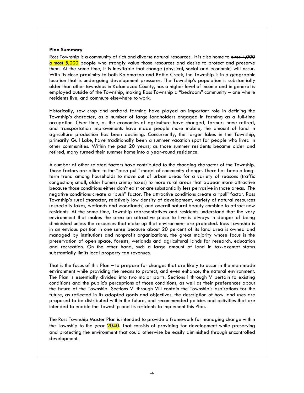#### **Plan Summary**

Ross Township is a community of rich and diverse natural resources. It is also home to over 4,000 almost 5,000 people who strongly value those resources and desire to protect and preserve them. At the same time, it is inevitable that change (physical, social and economic) will occur. With its close proximity to both Kalamazoo and Battle Creek, the Township is in a geographic location that is undergoing development pressures. The Township's population is substantially older than other townships in Kalamazoo County, has a higher level of income and in general is employed outside of the Township, making Ross Township a "bedroom" community – one where residents live, and commute elsewhere to work.

Historically, row crop and orchard farming have played an important role in defining the Township's character, as a number of large landholders engaged in farming as a full-time occupation. Over time, as the economics of agriculture have changed, farmers have retired, and transportation improvements have made people more mobile, the amount of land in agriculture production has been declining. Concurrently, the larger lakes in the Township, primarily Gull Lake, have traditionally been a summer vacation spot for people who lived in other communities. Within the past 20 years, as those summer residents became older and retired, many turned their summer home into a year-round residence.

A number of other related factors have contributed to the changing character of the Township. Those factors are allied to the "push-pull" model of community change. There has been a longterm trend among households to move out of urban areas for a variety of reasons (traffic congestion; small, older homes; crime; taxes) to more rural areas that appear more attractive because those conditions either don't exist or are substantially less pervasive in those areas. The negative conditions create a "push" factor. The attractive conditions create a "pull"factor. Ross Township's rural character, relatively low density of development, variety of natural resources (especially lakes, wetlands and woodlands) and overall natural beauty combine to attract new residents. At the same time, Township representatives and residents understand that the very environment that makes the area an attractive place to live is always in danger of being diminished unless the resources that make up that environment are protected. Ross Township is in an envious position in one sense because about 20 percent of its land area is owned and managed by institutions and nonprofit organizations, the great majority whose focus is the preservation of open space, forests, wetlands and agricultural lands for research, education and recreation. On the other hand, such a large amount of land in tax-exempt status substantially limits local property tax revenues.

That is the focus of this Plan – to prepare for changes that are likely to occur in the man-made environment while providing the means to protect, and even enhance, the natural environment. The Plan is essentially divided into two major parts. Sections I through V pertain to existing conditions and the public's perceptions of those conditions, as well as their preferences about the future of the Township. Sections VI through VIII contain the Township's aspirations for the future, as reflected in its adopted goals and objectives, the description of how land uses are proposed to be distributed within the future, and recommended policies and activities that are intended to enable the Township and its residents to implement this Plan.

The Ross Township Master Plan is intended to provide a framework for managing change within the Township to the year 2040. That consists of providing for development while preserving and protecting the environment that could otherwise be easily diminished through uncontrolled development.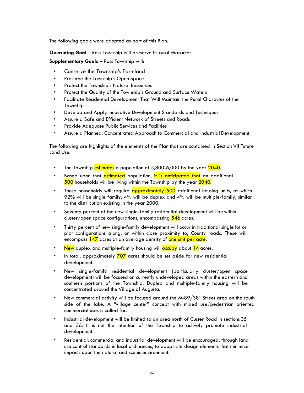The following goals were adopted as part of this Plan:

**Overriding Goal - Ross Township will preserve its rural character.** 

## **Supplementary Goals** – Ross Township will:

- Conserve the Township's Farmland
- Preserve the Township's Open Space
- Protect the Township's Natural Resources
- Protect the Quality of the Township's Ground and Surface Waters
- Facilitate Residential Development That Will Maintain the Rural Character of the Township
- Develop and Apply Innovative Development Standards and Techniques
- Assure a Safe and Efficient Network of Streets and Roads
- Provide Adequate Public Services and Facilities
- Assure a Planned, Concentrated Approach to Commercial and Industrial Development

The following are highlights of the elements of the Plan that are contained in Section VII Future Land Use.

- The Township estimates a population of 5,800-6,000 by the year 2040.
- Based upon that estimated population, it is anticipated that an additional 500 households will be living within the Township by the year 2040.
- Those households will require **approximately 500** additional housing units, of which 92% will be single family, 4% will be duplex and 4% will be multiple-family, similar to the distribution existing in the year 2000.
- Seventy percent of the new single-family residential development will be within cluster/open space configurations, encompassing 546 acres.
- Thirty percent of new single-family development will occur in traditional single lot or plat configurations along, or within close proximity to, County roads. These will encompass 147 acres at an average density of one unit per acre.
- New duplex and multiple-family housing will  $\overline{\text{occupy}}$  about  $14$  acres.
- In total, approximately  $\frac{707}{20}$  acres should be set aside for new residential development.
- New single-family residential development (particularly cluster/open space development) will be focused on currently undeveloped areas within the eastern and southern portions of the Township. Duplex and multiple-family housing will be concentrated around the Village of Augusta.
- New commercial activity will be focused around the M-89/38<sup>th</sup> Street area on the south side of the lake. A "village center" concept with mixed use/pedestrian oriented commercial uses is called for.
- Industrial development will be limited to an area north of Custer Road in sections 35 and 36. It is not the intention of the Township to actively promote industrial development.
- Residential, commercial and industrial development will be encouraged, through land use control standards in local ordinances, to adopt site design elements that minimize impacts upon the natural and scenic environment.